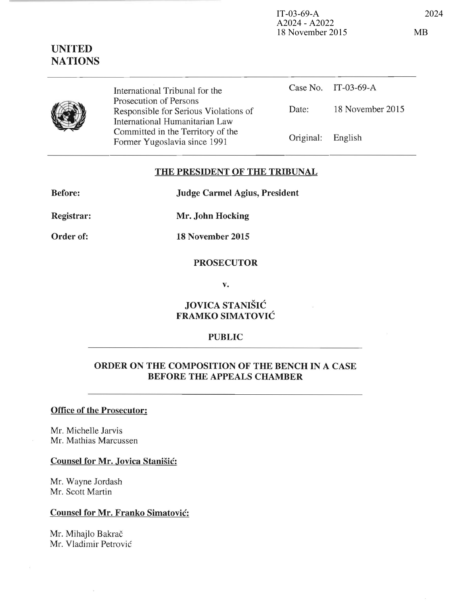IT-03-69-A 2024 A2024 - A2022 18 November 2015 MB

Case No. IT-03-69-A

Date: 18 November 2015

Committed in the Territory of the Former Yugoslavia since 1991 Original: English

#### **THE PRESIDENT OF THE TRIBUNAL**

**Judge Carmel Agius, President** 

**Registrar: Mr. John Hocking** 

International Tribunal for the

Responsible for Serious Violations of International Humanitarian Law

Prosecution of Persons

**18 November 2015** 

#### **PROSECUTOR**

**v.** 

#### **JOVICA STANISIC FRAMKO SIMATOVIC**

### **PUBLIC**

# **ORDER ON THE COMPOSITION OF THE BENCH IN A CASE BEFORE THE APPEALS CHAMBER**

### **Office of the Prosecutor:**

Mr. Michelle Jarvis Mr. Mathias Marcussen

# **Counsel for Mr. Jovica StaniSic:**

Mr. Wayne Jordash Mr. Scott Martin

# **Counsel for Mr. Franko Simatovic:**

Mr. Mihajlo Bakrač Mr. Vladimir Petrovic



**Before:** 

Order of: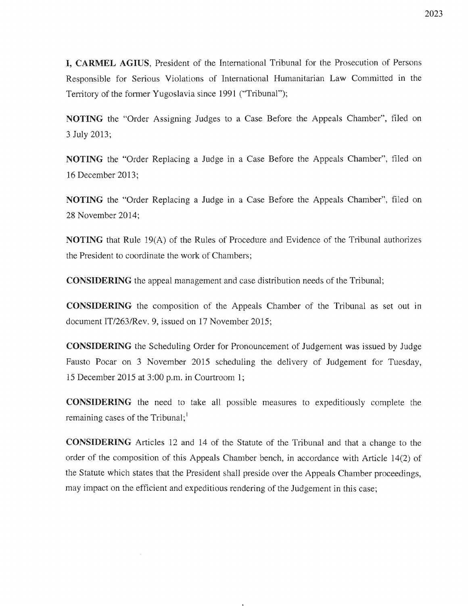I, CARMEL AGIUS, President of the International Tribunal for the Prosecution of Responsible for Serious Violations of International Humanitarian Law Committed in Territory of the former Yugoslavia since 1991 ("Tribunal");

NOTING the "Order Assigning Judges to a Case Before the Appeals Chamber", filed on 3 July 2013;

NOTING the "Order Replacing a Judge in a Case Before the Appeals Chamber", filed on 16 December 201

NOTING the "Order Replacing a Judge in a Case Before the Appeals Chamber", filed on 28 November 2014;

**NOTING** that Rule  $19(A)$  of the Rules of Procedure and Evidence of the Tribunal President to coordinate the work

**CONSIDERING** the appeal management and case distribution needs of the Tribunal;

**CONSIDERING** the composition of the Appeals Chamber of the Tribunal as set out in document IT/263/Rev. 9, issued on 17 November 2015;

**CONSIDERING** the Scheduling Order for Pronouncement of Judgement was issued by Judge Fausto Pocar on 3 November 2015 scheduling the delivery of Judgement for Tuesday, 15 December 2015 at 3:00 p.m. in Courtroom 1;

**CONSIDERING** the need to take all possible measures to expeditiously complete the remaining cases of the Tribunal; $<sup>1</sup>$ </sup>

**CONSIDERING** Articles 12 and 14 of the Statute of the Tribunal and that a change to the of the composition of this Appeals Chamber bench, in accordance with Article 14(2) of the Statute which states that the President shall preside over the Appeals Chamber proceedings, may impact on the efficient and expeditious rendering of the Judgement in this case;